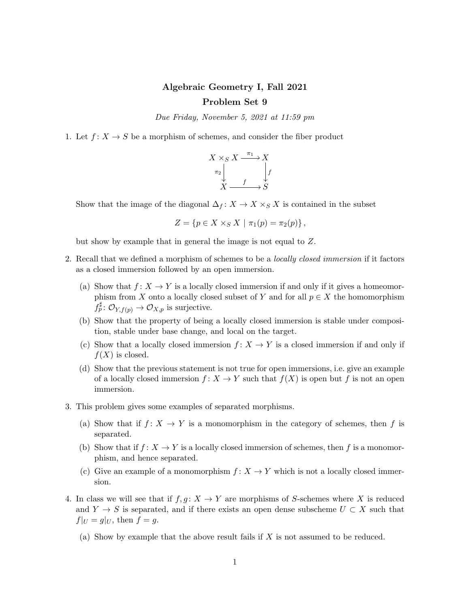## Algebraic Geometry I, Fall 2021 Problem Set 9

Due Friday, November 5, 2021 at 11:59 pm

1. Let  $f: X \to S$  be a morphism of schemes, and consider the fiber product

$$
\begin{array}{ccc}\nX \times_S X & \xrightarrow{\pi_1} & X \\
\pi_2 & & f \\
X & \xrightarrow{f} & S\n\end{array}
$$

Show that the image of the diagonal  $\Delta_f : X \to X \times_S X$  is contained in the subset

$$
Z = \{ p \in X \times_S X \mid \pi_1(p) = \pi_2(p) \},
$$

but show by example that in general the image is not equal to Z.

- 2. Recall that we defined a morphism of schemes to be a *locally closed immersion* if it factors as a closed immersion followed by an open immersion.
	- (a) Show that  $f: X \to Y$  is a locally closed immersion if and only if it gives a homeomorphism from X onto a locally closed subset of Y and for all  $p \in X$  the homomorphism  $f_p^{\sharp} \colon \mathcal{O}_{Y, f(p)} \to \mathcal{O}_{X, p}$  is surjective.
	- (b) Show that the property of being a locally closed immersion is stable under composition, stable under base change, and local on the target.
	- (c) Show that a locally closed immersion  $f: X \to Y$  is a closed immersion if and only if  $f(X)$  is closed.
	- (d) Show that the previous statement is not true for open immersions, i.e. give an example of a locally closed immersion  $f: X \to Y$  such that  $f(X)$  is open but f is not an open immersion.
- 3. This problem gives some examples of separated morphisms.
	- (a) Show that if  $f: X \to Y$  is a monomorphism in the category of schemes, then f is separated.
	- (b) Show that if  $f: X \to Y$  is a locally closed immersion of schemes, then f is a monomorphism, and hence separated.
	- (c) Give an example of a monomorphism  $f: X \to Y$  which is not a locally closed immersion.
- 4. In class we will see that if  $f, g: X \to Y$  are morphisms of S-schemes where X is reduced and  $Y \to S$  is separated, and if there exists an open dense subscheme  $U \subset X$  such that  $f|_U = g|_U$ , then  $f = g$ .
	- (a) Show by example that the above result fails if  $X$  is not assumed to be reduced.